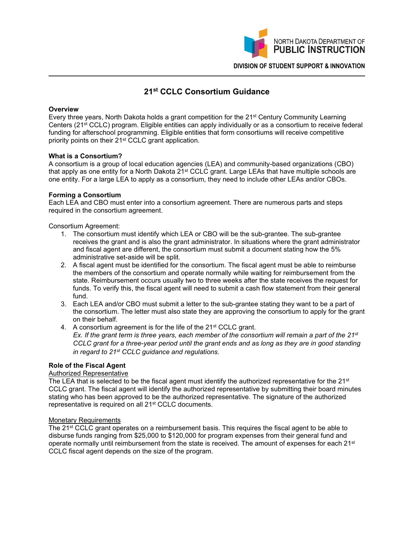

# **21st CCLC Consortium Guidance**

## **Overview**

Every three years, North Dakota holds a grant competition for the 21st Century Community Learning Centers (21st CCLC) program. Eligible entities can apply individually or as a consortium to receive federal funding for afterschool programming. Eligible entities that form consortiums will receive competitive priority points on their 21<sup>st</sup> CCLC grant application.

## **What is a Consortium?**

A consortium is a group of local education agencies (LEA) and community-based organizations (CBO) that apply as one entity for a North Dakota 21st CCLC grant. Large LEAs that have multiple schools are one entity. For a large LEA to apply as a consortium, they need to include other LEAs and/or CBOs.

## **Forming a Consortium**

Each LEA and CBO must enter into a consortium agreement. There are numerous parts and steps required in the consortium agreement.

## Consortium Agreement:

- 1. The consortium must identify which LEA or CBO will be the sub-grantee. The sub-grantee receives the grant and is also the grant administrator. In situations where the grant administrator and fiscal agent are different, the consortium must submit a document stating how the 5% administrative set-aside will be split.
- 2. A fiscal agent must be identified for the consortium. The fiscal agent must be able to reimburse the members of the consortium and operate normally while waiting for reimbursement from the state. Reimbursement occurs usually two to three weeks after the state receives the request for funds. To verify this, the fiscal agent will need to submit a cash flow statement from their general fund.
- 3. Each LEA and/or CBO must submit a letter to the sub-grantee stating they want to be a part of the consortium. The letter must also state they are approving the consortium to apply for the grant on their behalf.
- 4. A consortium agreement is for the life of the 21<sup>st</sup> CCLC grant. *Ex. If the grant term is three years, each member of the consortium will remain a part of the 21st CCLC grant for a three-year period until the grant ends and as long as they are in good standing*

*in regard to 21st CCLC guidance and regulations.*

# **Role of the Fiscal Agent**

# Authorized Representative

The LEA that is selected to be the fiscal agent must identify the authorized representative for the 21<sup>st</sup> CCLC grant. The fiscal agent will identify the authorized representative by submitting their board minutes stating who has been approved to be the authorized representative. The signature of the authorized representative is required on all 21st CCLC documents.

## Monetary Requirements

The 21<sup>st</sup> CCLC grant operates on a reimbursement basis. This requires the fiscal agent to be able to disburse funds ranging from \$25,000 to \$120,000 for program expenses from their general fund and operate normally until reimbursement from the state is received. The amount of expenses for each 21<sup>st</sup> CCLC fiscal agent depends on the size of the program.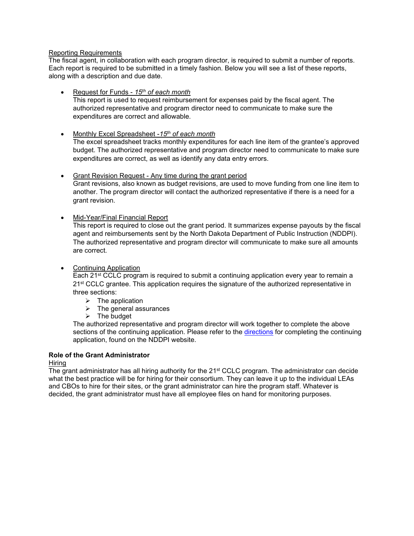## Reporting Requirements

The fiscal agent, in collaboration with each program director, is required to submit a number of reports. Each report is required to be submitted in a timely fashion. Below you will see a list of these reports, along with a description and due date.

- Request for Funds *15th of each month* This report is used to request reimbursement for expenses paid by the fiscal agent. The authorized representative and program director need to communicate to make sure the expenditures are correct and allowable.
- Monthly Excel Spreadsheet -*15th of each month*

The excel spreadsheet tracks monthly expenditures for each line item of the grantee's approved budget. The authorized representative and program director need to communicate to make sure expenditures are correct, as well as identify any data entry errors.

- Grant Revision Request Any time during the grant period Grant revisions, also known as budget revisions, are used to move funding from one line item to another. The program director will contact the authorized representative if there is a need for a grant revision.
- Mid-Year/Final Financial Report

This report is required to close out the grant period. It summarizes expense payouts by the fiscal agent and reimbursements sent by the North Dakota Department of Public Instruction (NDDPI). The authorized representative and program director will communicate to make sure all amounts are correct.

• Continuing Application

Each 21st CCLC program is required to submit a continuing application every year to remain a 21<sup>st</sup> CCLC grantee. This application requires the signature of the authorized representative in three sections:

- $\triangleright$  The application
- $\triangleright$  The general assurances
- $\triangleright$  The budget

The authorized representative and program director will work together to complete the above sections of the continuing application. Please refer to the [directions](https://www.nd.gov/dpi/uploads/documents/1444/instruct53515.pdfhttps:/www.nd.gov/dpi/uploads/documents/1444/instruct53515.pdf) for completing the continuing application, found on the NDDPI website.

## **Role of the Grant Administrator**

## Hiring

The grant administrator has all hiring authority for the 21st CCLC program. The administrator can decide what the best practice will be for hiring for their consortium. They can leave it up to the individual LEAs and CBOs to hire for their sites, or the grant administrator can hire the program staff. Whatever is decided, the grant administrator must have all employee files on hand for monitoring purposes.